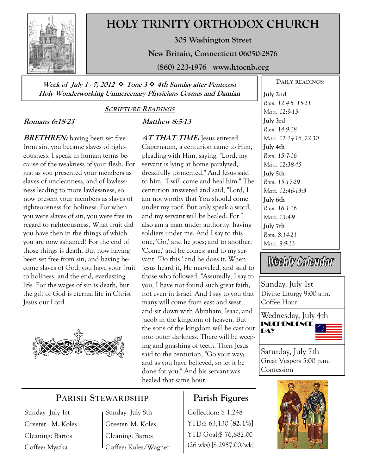

# **HOLY TRINITY ORTHODOX CHURCH**

**305 Washington Street** 

**New Britain, Connecticut 06050-2876** 

**(860) 223-1976 www.htocnb.org** 

**Week of July 1 - 7, 2012 Tone 3 4th Sunday after Pentecost Holy Wonderworking Unmercenary Physicians Cosmas and Damian** 

#### **SCRIPTURE READINGS**

### **Romans 6:18-23**

**BRETHREN:** having been set free from sin, you became slaves of righteousness. I speak in human terms because of the weakness of your flesh. For just as you presented your members as slaves of uncleanness, and of lawlessness leading to more lawlessness, so now present your members as slaves of righteousness for holiness. For when you were slaves of sin, you were free in regard to righteousness. What fruit did you have then in the things of which you are now ashamed? For the end of those things is death. But now having been set free from sin, and having become slaves of God, you have your fruit to holiness, and the end, everlasting life. For the wages of sin is death, but the gift of God is eternal life in Christ Jesus our Lord.



### **Matthew 8:5-13**

**AT THAT TIME:** Jesus entered Capernaum, a centurion came to Him, pleading with Him, saying, "Lord, my servant is lying at home paralyzed, dreadfully tormented." And Jesus said to him, "I will come and heal him." The centurion answered and said, "Lord, I am not worthy that You should come under my roof. But only speak a word, and my servant will be healed. For I also am a man under authority, having soldiers under me. And I say to this one, 'Go,' and he goes; and to another, 'Come,' and he comes; and to my servant, 'Do this,' and he does it. When Jesus heard it, He marveled, and said to those who followed, "Assuredly, I say to you, I have not found such great faith, not even in Israel! And I say to you that many will come from east and west, and sit down with Abraham, Isaac, and Jacob in the kingdom of heaven. But the sons of the kingdom will be cast out into outer darkness. There will be weeping and gnashing of teeth. Then Jesus said to the centurion, "Go your way; and as you have believed, so let it be done for you." And his servant was healed that same hour.

# **July 2nd**  *Rom. 12:4-5, 15-21*

**DAILY READINGS:** 

*Matt. 12:9-13*  **July 3rd**  *Rom. 14:9-18 Matt. 12:14-16, 22-30*  **July 4th**  *Rom. 15:7-16 Matt. 12:38-45*  **July 5th**  *Rom. 15:17-29 Matt. 12:46-13:3*  **July 6th**  *Rom. 16:1-16 Matt. 13:4-9*  **July 7th**  *Rom. 8:14-21 Matt. 9:9-13* 

Weekly Calendar

Sunday, July 1st Divine Liturgy 9:00 a.m. Coffee Hour

Wednesday, July 4th INDEPENDENCE **DAY** 



Saturday, July 7th Great Vespers 5:00 p.m. Confession

# **PARISH STEWARDSHIP**

Sunday July 1st Greeter: M. Koles Cleaning: Bartos Coffee: Myszka

Sunday July 8th Greeter: M. Koles Cleaning: Bartos Coffee: Koles/Wagner

# **Parish Figures**

Collection: \$ 1,248 YTD:\$ 63,130 **[82.1%]** YTD Goal:\$ 76,882.00 (26 wks) [\$ 2957.00/wk]